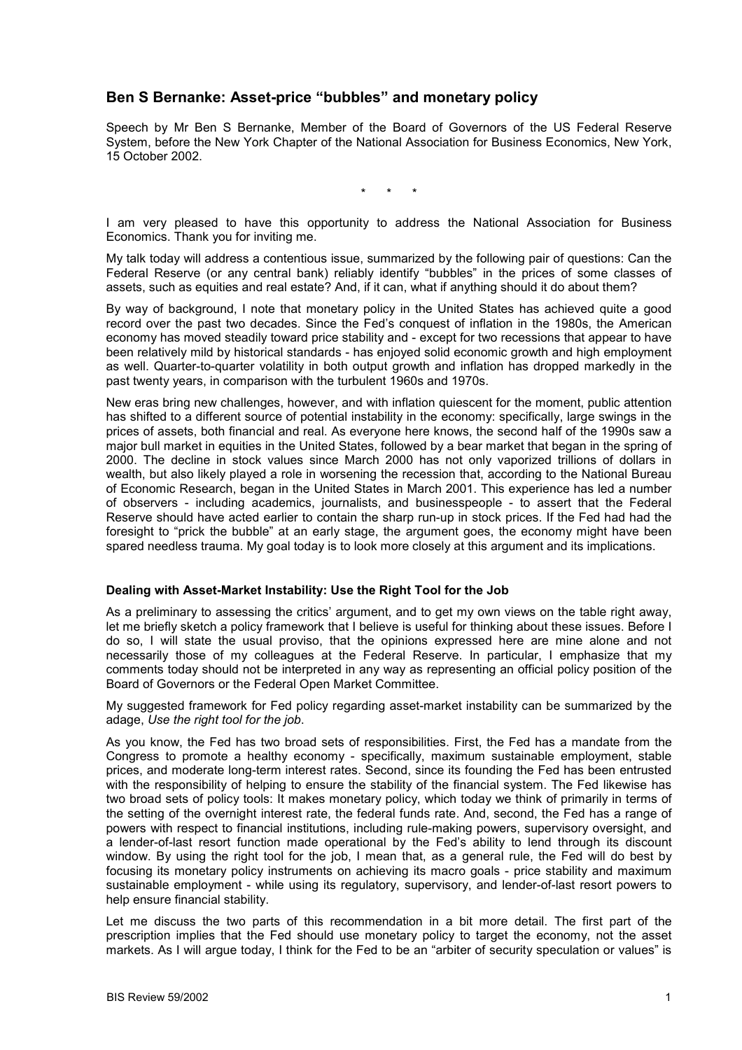# **Ben S Bernanke: Asset-price "bubbles" and monetary policy**

Speech by Mr Ben S Bernanke, Member of the Board of Governors of the US Federal Reserve System, before the New York Chapter of the National Association for Business Economics, New York, 15 October 2002.

\* \* \*

I am very pleased to have this opportunity to address the National Association for Business Economics. Thank you for inviting me.

My talk today will address a contentious issue, summarized by the following pair of questions: Can the Federal Reserve (or any central bank) reliably identify "bubbles" in the prices of some classes of assets, such as equities and real estate? And, if it can, what if anything should it do about them?

By way of background, I note that monetary policy in the United States has achieved quite a good record over the past two decades. Since the Fedís conquest of inflation in the 1980s, the American economy has moved steadily toward price stability and - except for two recessions that appear to have been relatively mild by historical standards - has enjoyed solid economic growth and high employment as well. Quarter-to-quarter volatility in both output growth and inflation has dropped markedly in the past twenty years, in comparison with the turbulent 1960s and 1970s.

New eras bring new challenges, however, and with inflation quiescent for the moment, public attention has shifted to a different source of potential instability in the economy: specifically, large swings in the prices of assets, both financial and real. As everyone here knows, the second half of the 1990s saw a major bull market in equities in the United States, followed by a bear market that began in the spring of 2000. The decline in stock values since March 2000 has not only vaporized trillions of dollars in wealth, but also likely played a role in worsening the recession that, according to the National Bureau of Economic Research, began in the United States in March 2001. This experience has led a number of observers - including academics, journalists, and businesspeople - to assert that the Federal Reserve should have acted earlier to contain the sharp run-up in stock prices. If the Fed had had the foresight to "prick the bubble" at an early stage, the argument goes, the economy might have been spared needless trauma. My goal today is to look more closely at this argument and its implications.

#### **Dealing with Asset-Market Instability: Use the Right Tool for the Job**

As a preliminary to assessing the critics' argument, and to get my own views on the table right away. let me briefly sketch a policy framework that I believe is useful for thinking about these issues. Before I do so, I will state the usual proviso, that the opinions expressed here are mine alone and not necessarily those of my colleagues at the Federal Reserve. In particular, I emphasize that my comments today should not be interpreted in any way as representing an official policy position of the Board of Governors or the Federal Open Market Committee.

My suggested framework for Fed policy regarding asset-market instability can be summarized by the adage, *Use the right tool for the job*.

As you know, the Fed has two broad sets of responsibilities. First, the Fed has a mandate from the Congress to promote a healthy economy - specifically, maximum sustainable employment, stable prices, and moderate long-term interest rates. Second, since its founding the Fed has been entrusted with the responsibility of helping to ensure the stability of the financial system. The Fed likewise has two broad sets of policy tools: It makes monetary policy, which today we think of primarily in terms of the setting of the overnight interest rate, the federal funds rate. And, second, the Fed has a range of powers with respect to financial institutions, including rule-making powers, supervisory oversight, and a lender-of-last resort function made operational by the Fedís ability to lend through its discount window. By using the right tool for the job, I mean that, as a general rule, the Fed will do best by focusing its monetary policy instruments on achieving its macro goals - price stability and maximum sustainable employment - while using its regulatory, supervisory, and lender-of-last resort powers to help ensure financial stability.

Let me discuss the two parts of this recommendation in a bit more detail. The first part of the prescription implies that the Fed should use monetary policy to target the economy, not the asset markets. As I will argue today, I think for the Fed to be an "arbiter of security speculation or values" is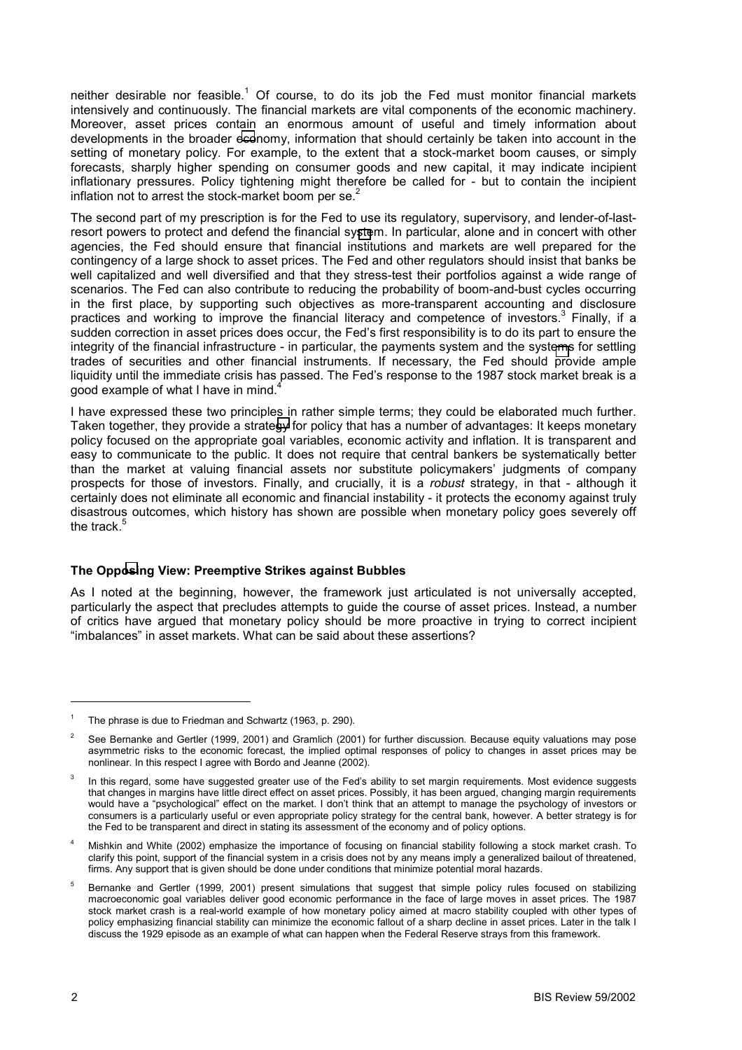neither desirable nor feasible.<sup>1</sup> Of course, to do its job the Fed must monitor financial markets intensively and continuously. The financial markets are vital components of the economic machinery. Moreover, asset prices contain an enormous amount of useful and timely information about developments in the broader economy, information that should certainly be taken into account in the setting of monetary policy. For example, to the extent that a stock-market boom causes, or simply forecasts, sharply higher spending on consumer goods and new capital, it may indicate incipient inflationary pressures. Policy tightening might therefore be called for - but to contain the incipient inflation not to arrest the stock-market boom per se. $2$ 

The second part of my prescription is for the Fed to use its regulatory, supervisory, and lender-of-lastresort powers to protect and defend the financial system. In particular, alone and in concert with other agencies, the Fed should ensure that financial institutions and markets are well prepared for the contingency of a large shock to asset prices. The Fed and other regulators should insist that banks be well capitalized and well diversified and that they stress-test their portfolios against a wide range of scenarios. The Fed can also contribute to reducing the probability of boom-and-bust cycles occurring in the first place, by supporting such objectives as more-transparent accounting and disclosure practices and working to improve the financial literacy and competence of investors.<sup>3</sup> Finally, if a sudden correction in asset prices does occur, the Fed's first responsibility is to do its part to ensure the integrity of the financial infrastructure - in particular, the payments system and the systems for settling trades of securities and other financial instruments. If necessary, the Fed should provide ample liquidity until the immediate crisis has passed. The Fed's response to the 1987 stock market break is a good example of what I have in mind.<sup>4</sup>

I have expressed these two principles in rather simple terms; they could be elaborated much further. Taken together, they provide a strategy for policy that has a number of advantages: It keeps monetary policy focused on the appropriate goal variables, economic activity and inflation. It is transparent and easy to communicate to the public. It does not require that central bankers be systematically better than the market at valuing financial assets nor substitute policymakers' judgments of company prospects for those of investors. Finally, and crucially, it is a *robust* strategy, in that - although it certainly does not eliminate all economic and financial instability - it protects the economy against truly disastrous outcomes, which history has shown are possible when monetary policy goes severely off the track.<sup>4</sup>

#### **The Opposing View: Preemptive Strikes against Bubbles**

As I noted at the beginning, however, the framework just articulated is not universally accepted, particularly the aspect that precludes attempts to guide the course of asset prices. Instead, a number of critics have argued that monetary policy should be more proactive in trying to correct incipient ìimbalancesî in asset markets. What can be said about these assertions?

<sup>1</sup> The phrase is due to Friedman and Schwartz (1963, p. 290).

<sup>2</sup> See Bernanke and Gertler (1999, 2001) and Gramlich (2001) for further discussion. Because equity valuations may pose asymmetric risks to the economic forecast, the implied optimal responses of policy to changes in asset prices may be nonlinear. In this respect I agree with Bordo and Jeanne (2002).

<sup>3</sup> In this regard, some have suggested greater use of the Fed's ability to set margin requirements. Most evidence suggests that changes in margins have little direct effect on asset prices. Possibly, it has been argued, changing margin requirements would have a "psychological" effect on the market. I don't think that an attempt to manage the psychology of investors or consumers is a particularly useful or even appropriate policy strategy for the central bank, however. A better strategy is for the Fed to be transparent and direct in stating its assessment of the economy and of policy options.

<sup>4</sup> Mishkin and White (2002) emphasize the importance of focusing on financial stability following a stock market crash. To clarify this point, support of the financial system in a crisis does not by any means imply a generalized bailout of threatened, firms. Any support that is given should be done under conditions that minimize potential moral hazards.

<sup>5</sup> Bernanke and Gertler (1999, 2001) present simulations that suggest that simple policy rules focused on stabilizing macroeconomic goal variables deliver good economic performance in the face of large moves in asset prices. The 1987 stock market crash is a real-world example of how monetary policy aimed at macro stability coupled with other types of policy emphasizing financial stability can minimize the economic fallout of a sharp decline in asset prices. Later in the talk I discuss the 1929 episode as an example of what can happen when the Federal Reserve strays from this framework.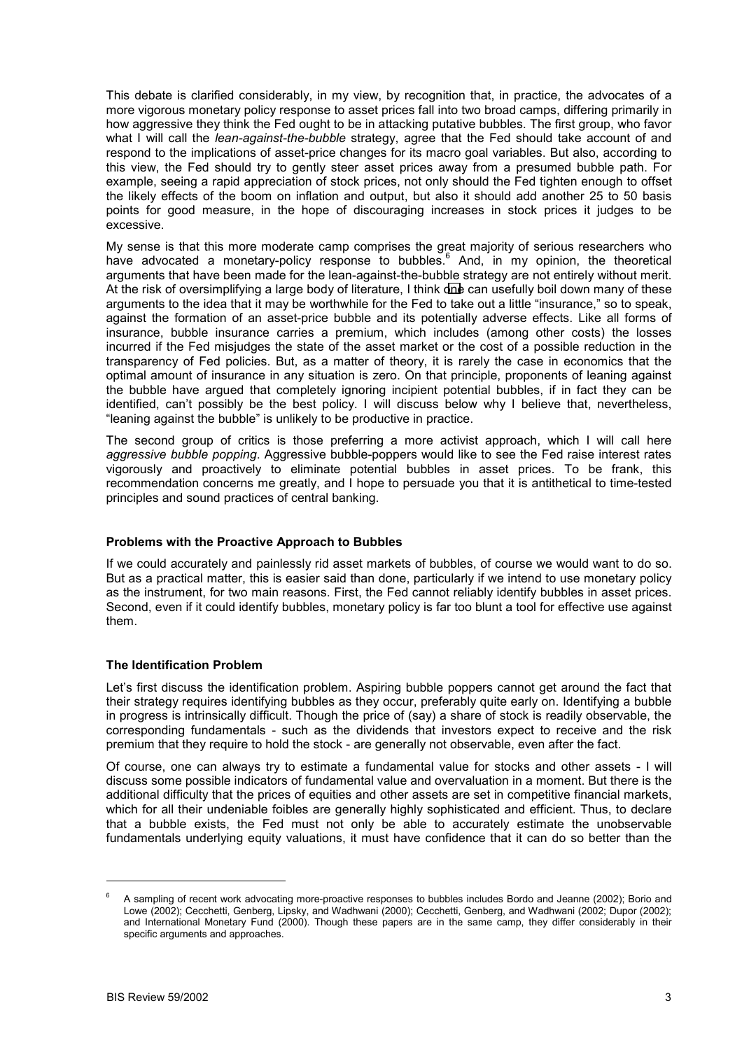This debate is clarified considerably, in my view, by recognition that, in practice, the advocates of a more vigorous monetary policy response to asset prices fall into two broad camps, differing primarily in how aggressive they think the Fed ought to be in attacking putative bubbles. The first group, who favor what I will call the *lean-against-the-bubble* strategy, agree that the Fed should take account of and respond to the implications of asset-price changes for its macro goal variables. But also, according to this view, the Fed should try to gently steer asset prices away from a presumed bubble path. For example, seeing a rapid appreciation of stock prices, not only should the Fed tighten enough to offset the likely effects of the boom on inflation and output, but also it should add another 25 to 50 basis points for good measure, in the hope of discouraging increases in stock prices it judges to be excessive.

My sense is that this more moderate camp comprises the great majority of serious researchers who have advocated a monetary-policy response to bubbles.<sup>6</sup> And, in my opinion, the theoretical arguments that have been made for the lean-against-the-bubble strategy are not entirely without merit. At the risk of oversimplifying a large body of literature, I think one can usefully boil down many of these arguments to the idea that it may be worthwhile for the Fed to take out a little "insurance," so to speak, against the formation of an asset-price bubble and its potentially adverse effects. Like all forms of insurance, bubble insurance carries a premium, which includes (among other costs) the losses incurred if the Fed misjudges the state of the asset market or the cost of a possible reduction in the transparency of Fed policies. But, as a matter of theory, it is rarely the case in economics that the optimal amount of insurance in any situation is zero. On that principle, proponents of leaning against the bubble have argued that completely ignoring incipient potential bubbles, if in fact they can be identified, can't possibly be the best policy. I will discuss below why I believe that, nevertheless, "leaning against the bubble" is unlikely to be productive in practice.

The second group of critics is those preferring a more activist approach, which I will call here *aggressive bubble popping*. Aggressive bubble-poppers would like to see the Fed raise interest rates vigorously and proactively to eliminate potential bubbles in asset prices. To be frank, this recommendation concerns me greatly, and I hope to persuade you that it is antithetical to time-tested principles and sound practices of central banking.

#### **Problems with the Proactive Approach to Bubbles**

If we could accurately and painlessly rid asset markets of bubbles, of course we would want to do so. But as a practical matter, this is easier said than done, particularly if we intend to use monetary policy as the instrument, for two main reasons. First, the Fed cannot reliably identify bubbles in asset prices. Second, even if it could identify bubbles, monetary policy is far too blunt a tool for effective use against them.

## **The Identification Problem**

Let's first discuss the identification problem. Aspiring bubble poppers cannot get around the fact that their strategy requires identifying bubbles as they occur, preferably quite early on. Identifying a bubble in progress is intrinsically difficult. Though the price of (say) a share of stock is readily observable, the corresponding fundamentals - such as the dividends that investors expect to receive and the risk premium that they require to hold the stock - are generally not observable, even after the fact.

Of course, one can always try to estimate a fundamental value for stocks and other assets - I will discuss some possible indicators of fundamental value and overvaluation in a moment. But there is the additional difficulty that the prices of equities and other assets are set in competitive financial markets, which for all their undeniable foibles are generally highly sophisticated and efficient. Thus, to declare that a bubble exists, the Fed must not only be able to accurately estimate the unobservable fundamentals underlying equity valuations, it must have confidence that it can do so better than the

<sup>6</sup> A sampling of recent work advocating more-proactive responses to bubbles includes Bordo and Jeanne (2002); Borio and Lowe (2002); Cecchetti, Genberg, Lipsky, and Wadhwani (2000); Cecchetti, Genberg, and Wadhwani (2002; Dupor (2002); and International Monetary Fund (2000). Though these papers are in the same camp, they differ considerably in their specific arguments and approaches.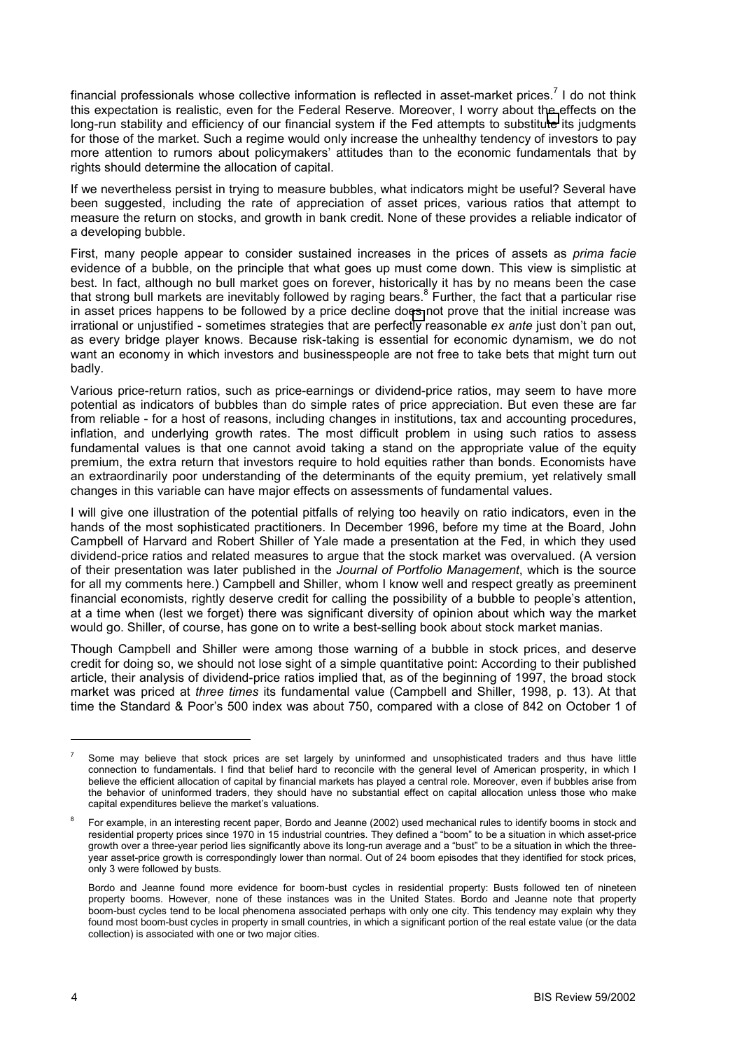financial professionals whose collective information is reflected in asset-market prices.<sup>7</sup> I do not think this expectation is realistic, even for the Federal Reserve. Moreover, I worry about the effects on the long-run stability and efficiency of our financial system if the Fed attempts to substitute its judgments for those of the market. Such a regime would only increase the unhealthy tendency of investors to pay more attention to rumors about policymakers' attitudes than to the economic fundamentals that by rights should determine the allocation of capital.

If we nevertheless persist in trying to measure bubbles, what indicators might be useful? Several have been suggested, including the rate of appreciation of asset prices, various ratios that attempt to measure the return on stocks, and growth in bank credit. None of these provides a reliable indicator of a developing bubble.

First, many people appear to consider sustained increases in the prices of assets as *prima facie* evidence of a bubble, on the principle that what goes up must come down. This view is simplistic at best. In fact, although no bull market goes on forever, historically it has by no means been the case that strong bull markets are inevitably followed by raging bears.<sup>8</sup> Further, the fact that a particular rise in asset prices happens to be followed by a price decline does not prove that the initial increase was irrational or unjustified - sometimes strategies that are perfectly reasonable *ex ante* just donít pan out, as every bridge player knows. Because risk-taking is essential for economic dynamism, we do not want an economy in which investors and businesspeople are not free to take bets that might turn out badly.

Various price-return ratios, such as price-earnings or dividend-price ratios, may seem to have more potential as indicators of bubbles than do simple rates of price appreciation. But even these are far from reliable - for a host of reasons, including changes in institutions, tax and accounting procedures, inflation, and underlying growth rates. The most difficult problem in using such ratios to assess fundamental values is that one cannot avoid taking a stand on the appropriate value of the equity premium, the extra return that investors require to hold equities rather than bonds. Economists have an extraordinarily poor understanding of the determinants of the equity premium, yet relatively small changes in this variable can have major effects on assessments of fundamental values.

I will give one illustration of the potential pitfalls of relying too heavily on ratio indicators, even in the hands of the most sophisticated practitioners. In December 1996, before my time at the Board, John Campbell of Harvard and Robert Shiller of Yale made a presentation at the Fed, in which they used dividend-price ratios and related measures to argue that the stock market was overvalued. (A version of their presentation was later published in the *Journal of Portfolio Management*, which is the source for all my comments here.) Campbell and Shiller, whom I know well and respect greatly as preeminent financial economists, rightly deserve credit for calling the possibility of a bubble to people's attention, at a time when (lest we forget) there was significant diversity of opinion about which way the market would go. Shiller, of course, has gone on to write a best-selling book about stock market manias.

Though Campbell and Shiller were among those warning of a bubble in stock prices, and deserve credit for doing so, we should not lose sight of a simple quantitative point: According to their published article, their analysis of dividend-price ratios implied that, as of the beginning of 1997, the broad stock market was priced at *three times* its fundamental value (Campbell and Shiller, 1998, p. 13). At that time the Standard & Poor's 500 index was about 750, compared with a close of 842 on October 1 of

<sup>7</sup> Some may believe that stock prices are set largely by uninformed and unsophisticated traders and thus have little connection to fundamentals. I find that belief hard to reconcile with the general level of American prosperity, in which I believe the efficient allocation of capital by financial markets has played a central role. Moreover, even if bubbles arise from the behavior of uninformed traders, they should have no substantial effect on capital allocation unless those who make capital expenditures believe the market's valuations.

<sup>8</sup> For example, in an interesting recent paper, Bordo and Jeanne (2002) used mechanical rules to identify booms in stock and residential property prices since 1970 in 15 industrial countries. They defined a "boom" to be a situation in which asset-price growth over a three-year period lies significantly above its long-run average and a "bust" to be a situation in which the threeyear asset-price growth is correspondingly lower than normal. Out of 24 boom episodes that they identified for stock prices, only 3 were followed by busts.

Bordo and Jeanne found more evidence for boom-bust cycles in residential property: Busts followed ten of nineteen property booms. However, none of these instances was in the United States. Bordo and Jeanne note that property boom-bust cycles tend to be local phenomena associated perhaps with only one city. This tendency may explain why they found most boom-bust cycles in property in small countries, in which a significant portion of the real estate value (or the data collection) is associated with one or two major cities.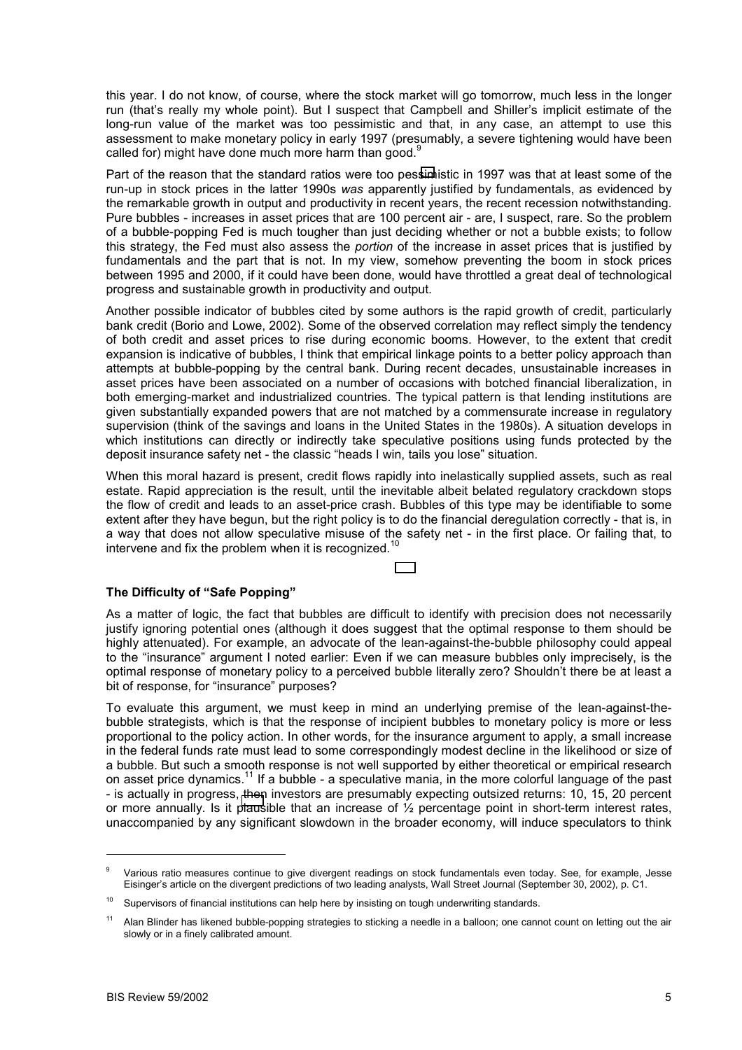this year. I do not know, of course, where the stock market will go tomorrow, much less in the longer run (that's really my whole point). But I suspect that Campbell and Shiller's implicit estimate of the long-run value of the market was too pessimistic and that, in any case, an attempt to use this assessment to make monetary policy in early 1997 (presumably, a severe tightening would have been called for) might have done much more harm than good.<sup>9</sup>

Part of the reason that the standard ratios were too pessimistic in 1997 was that at least some of the run-up in stock prices in the latter 1990s *was* apparently justified by fundamentals, as evidenced by the remarkable growth in output and productivity in recent years, the recent recession notwithstanding. Pure bubbles - increases in asset prices that are 100 percent air - are, I suspect, rare. So the problem of a bubble-popping Fed is much tougher than just deciding whether or not a bubble exists; to follow this strategy, the Fed must also assess the *portion* of the increase in asset prices that is justified by fundamentals and the part that is not. In my view, somehow preventing the boom in stock prices between 1995 and 2000, if it could have been done, would have throttled a great deal of technological progress and sustainable growth in productivity and output.

Another possible indicator of bubbles cited by some authors is the rapid growth of credit, particularly bank credit (Borio and Lowe, 2002). Some of the observed correlation may reflect simply the tendency of both credit and asset prices to rise during economic booms. However, to the extent that credit expansion is indicative of bubbles, I think that empirical linkage points to a better policy approach than attempts at bubble-popping by the central bank. During recent decades, unsustainable increases in asset prices have been associated on a number of occasions with botched financial liberalization, in both emerging-market and industrialized countries. The typical pattern is that lending institutions are given substantially expanded powers that are not matched by a commensurate increase in regulatory supervision (think of the savings and loans in the United States in the 1980s). A situation develops in which institutions can directly or indirectly take speculative positions using funds protected by the deposit insurance safety net - the classic "heads I win, tails you lose" situation.

When this moral hazard is present, credit flows rapidly into inelastically supplied assets, such as real estate. Rapid appreciation is the result, until the inevitable albeit belated regulatory crackdown stops the flow of credit and leads to an asset-price crash. Bubbles of this type may be identifiable to some extent after they have begun, but the right policy is to do the financial deregulation correctly - that is, in a way that does not allow speculative misuse of the safety net - in the first place. Or failing that, to intervene and fix the problem when it is recognized.<sup>1</sup>

## **The Difficulty of "Safe Popping"**

As a matter of logic, the fact that bubbles are difficult to identify with precision does not necessarily justify ignoring potential ones (although it does suggest that the optimal response to them should be highly attenuated). For example, an advocate of the lean-against-the-bubble philosophy could appeal to the "insurance" argument I noted earlier: Even if we can measure bubbles only imprecisely, is the optimal response of monetary policy to a perceived bubble literally zero? Shouldnít there be at least a bit of response, for "insurance" purposes?

To evaluate this argument, we must keep in mind an underlying premise of the lean-against-thebubble strategists, which is that the response of incipient bubbles to monetary policy is more or less proportional to the policy action. In other words, for the insurance argument to apply, a small increase in the federal funds rate must lead to some correspondingly modest decline in the likelihood or size of a bubble. But such a smooth response is not well supported by either theoretical or empirical research on asset price dynamics.11 If a bubble - a speculative mania, in the more colorful language of the past - is actually in progress, then investors are presumably expecting outsized returns: 10, 15, 20 percent or more annually. Is it plausible that an increase of  $\frac{1}{2}$  percentage point in short-term interest rates, unaccompanied by any significant slowdown in the broader economy, will induce speculators to think

<sup>9</sup> Various ratio measures continue to give divergent readings on stock fundamentals even today. See, for example, Jesse Eisingerís article on the divergent predictions of two leading analysts, Wall Street Journal (September 30, 2002), p. C1.

 $10$  Supervisors of financial institutions can help here by insisting on tough underwriting standards.

<sup>&</sup>lt;sup>11</sup> Alan Blinder has likened bubble-popping strategies to sticking a needle in a balloon; one cannot count on letting out the air slowly or in a finely calibrated amount.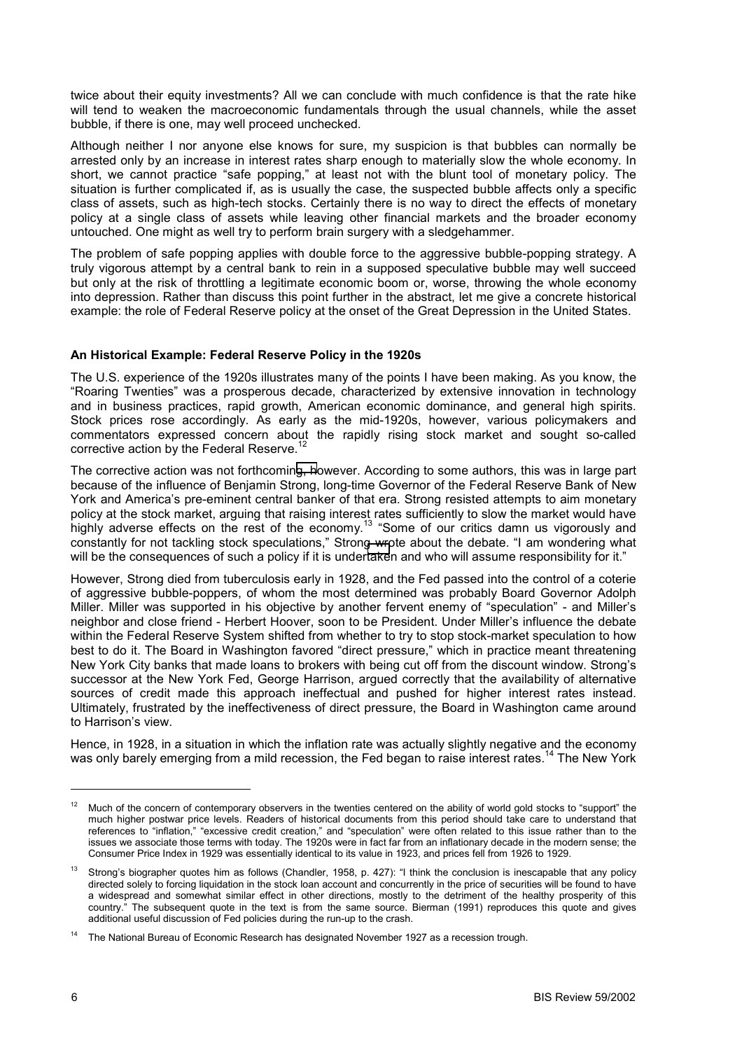twice about their equity investments? All we can conclude with much confidence is that the rate hike will tend to weaken the macroeconomic fundamentals through the usual channels, while the asset bubble, if there is one, may well proceed unchecked.

Although neither I nor anyone else knows for sure, my suspicion is that bubbles can normally be arrested only by an increase in interest rates sharp enough to materially slow the whole economy. In short, we cannot practice "safe popping," at least not with the blunt tool of monetary policy. The situation is further complicated if, as is usually the case, the suspected bubble affects only a specific class of assets, such as high-tech stocks. Certainly there is no way to direct the effects of monetary policy at a single class of assets while leaving other financial markets and the broader economy untouched. One might as well try to perform brain surgery with a sledgehammer.

The problem of safe popping applies with double force to the aggressive bubble-popping strategy. A truly vigorous attempt by a central bank to rein in a supposed speculative bubble may well succeed but only at the risk of throttling a legitimate economic boom or, worse, throwing the whole economy into depression. Rather than discuss this point further in the abstract, let me give a concrete historical example: the role of Federal Reserve policy at the onset of the Great Depression in the United States.

### **An Historical Example: Federal Reserve Policy in the 1920s**

The U.S. experience of the 1920s illustrates many of the points I have been making. As you know, the ìRoaring Twentiesî was a prosperous decade, characterized by extensive innovation in technology and in business practices, rapid growth, American economic dominance, and general high spirits. Stock prices rose accordingly. As early as the mid-1920s, however, various policymakers and commentators expressed concern about the rapidly rising stock market and sought so-called corrective action by the Federal Reserve.

The corrective action was not forthcoming, however. According to some authors, this was in large part because of the influence of Benjamin Strong, long-time Governor of the Federal Reserve Bank of New York and Americaís pre-eminent central banker of that era. Strong resisted attempts to aim monetary policy at the stock market, arguing that raising interest rates sufficiently to slow the market would have highly adverse effects on the rest of the economy.<sup>13</sup> "Some of our critics damn us vigorously and constantly for not tackling stock speculations," Strong wrote about the debate. "I am wondering what will be the consequences of such a policy if it is undertaken and who will assume responsibility for it."

However, Strong died from tuberculosis early in 1928, and the Fed passed into the control of a coterie of aggressive bubble-poppers, of whom the most determined was probably Board Governor Adolph Miller. Miller was supported in his objective by another fervent enemy of "speculation" - and Miller's neighbor and close friend - Herbert Hoover, soon to be President. Under Millerís influence the debate within the Federal Reserve System shifted from whether to try to stop stock-market speculation to how best to do it. The Board in Washington favored "direct pressure," which in practice meant threatening New York City banks that made loans to brokers with being cut off from the discount window. Strongís successor at the New York Fed. George Harrison, argued correctly that the availability of alternative sources of credit made this approach ineffectual and pushed for higher interest rates instead. Ultimately, frustrated by the ineffectiveness of direct pressure, the Board in Washington came around to Harrison's view.

Hence, in 1928, in a situation in which the inflation rate was actually slightly negative and the economy was only barely emerging from a mild recession, the Fed began to raise interest rates.<sup>14</sup> The New York

Much of the concern of contemporary observers in the twenties centered on the ability of world gold stocks to "support" the much higher postwar price levels. Readers of historical documents from this period should take care to understand that references to "inflation." "excessive credit creation." and "speculation" were often related to this issue rather than to the issues we associate those terms with today. The 1920s were in fact far from an inflationary decade in the modern sense; the Consumer Price Index in 1929 was essentially identical to its value in 1923, and prices fell from 1926 to 1929.

 $13$  Strong's biographer quotes him as follows (Chandler, 1958, p. 427): "I think the conclusion is inescapable that any policy directed solely to forcing liquidation in the stock loan account and concurrently in the price of securities will be found to have a widespread and somewhat similar effect in other directions, mostly to the detriment of the healthy prosperity of this country." The subsequent quote in the text is from the same source. Bierman (1991) reproduces this quote and gives additional useful discussion of Fed policies during the run-up to the crash.

<sup>14</sup> The National Bureau of Economic Research has designated November 1927 as a recession trough.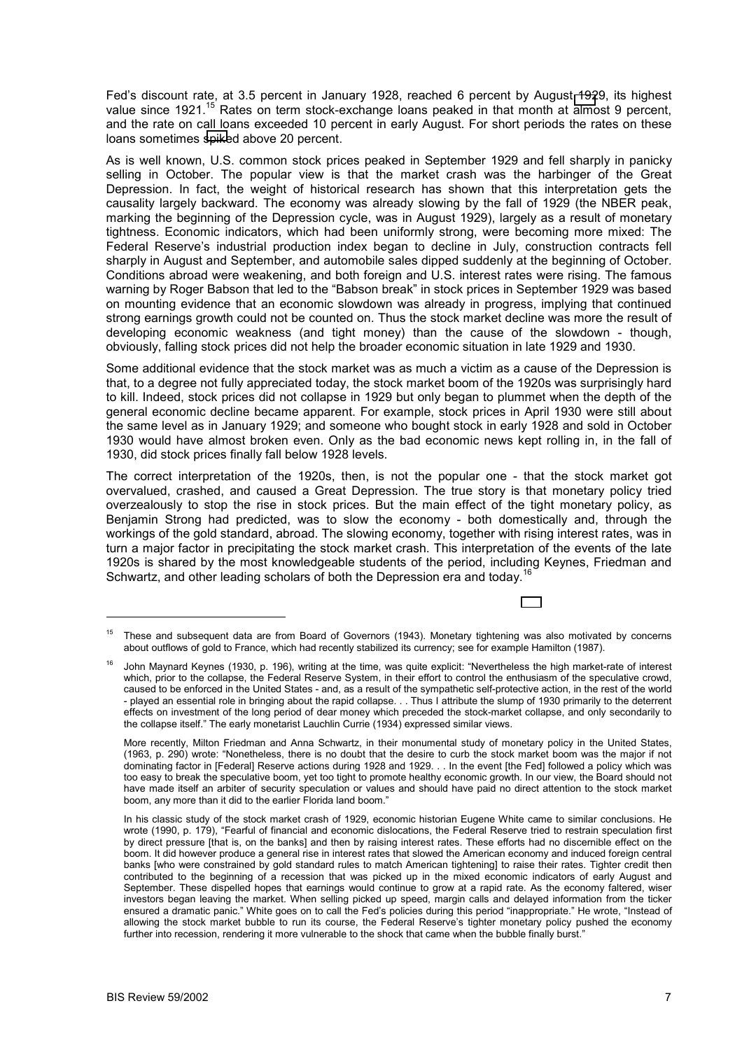Fed's discount rate, at 3.5 percent in January 1928, reached 6 percent by August 1929, its highest value since 1921.<sup>15</sup> Rates on term stock-exchange loans peaked in that month at almost 9 percent. and the rate on call loans exceeded 10 percent in early August. For short periods the rates on these loans sometimes spiked above 20 percent.

As is well known, U.S. common stock prices peaked in September 1929 and fell sharply in panicky selling in October. The popular view is that the market crash was the harbinger of the Great Depression. In fact, the weight of historical research has shown that this interpretation gets the causality largely backward. The economy was already slowing by the fall of 1929 (the NBER peak, marking the beginning of the Depression cycle, was in August 1929), largely as a result of monetary tightness. Economic indicators, which had been uniformly strong, were becoming more mixed: The Federal Reserve's industrial production index began to decline in July, construction contracts fell sharply in August and September, and automobile sales dipped suddenly at the beginning of October. Conditions abroad were weakening, and both foreign and U.S. interest rates were rising. The famous warning by Roger Babson that led to the "Babson break" in stock prices in September 1929 was based on mounting evidence that an economic slowdown was already in progress, implying that continued strong earnings growth could not be counted on. Thus the stock market decline was more the result of developing economic weakness (and tight money) than the cause of the slowdown - though, obviously, falling stock prices did not help the broader economic situation in late 1929 and 1930.

Some additional evidence that the stock market was as much a victim as a cause of the Depression is that, to a degree not fully appreciated today, the stock market boom of the 1920s was surprisingly hard to kill. Indeed, stock prices did not collapse in 1929 but only began to plummet when the depth of the general economic decline became apparent. For example, stock prices in April 1930 were still about the same level as in January 1929; and someone who bought stock in early 1928 and sold in October 1930 would have almost broken even. Only as the bad economic news kept rolling in, in the fall of 1930, did stock prices finally fall below 1928 levels.

The correct interpretation of the 1920s, then, is not the popular one - that the stock market got overvalued, crashed, and caused a Great Depression. The true story is that monetary policy tried overzealously to stop the rise in stock prices. But the main effect of the tight monetary policy, as Benjamin Strong had predicted, was to slow the economy - both domestically and, through the workings of the gold standard, abroad. The slowing economy, together with rising interest rates, was in turn a major factor in precipitating the stock market crash. This interpretation of the events of the late 1920s is shared by the most knowledgeable students of the period, including Keynes, Friedman and Schwartz, and other leading scholars of both the Depression era and today.<sup>16</sup>

<sup>&</sup>lt;sup>15</sup> These and subsequent data are from Board of Governors (1943). Monetary tightening was also motivated by concerns about outflows of gold to France, which had recently stabilized its currency; see for example Hamilton (1987).

John Maynard Keynes (1930, p. 196), writing at the time, was quite explicit: "Nevertheless the high market-rate of interest which, prior to the collapse, the Federal Reserve System, in their effort to control the enthusiasm of the speculative crowd, caused to be enforced in the United States - and, as a result of the sympathetic self-protective action, in the rest of the world - played an essential role in bringing about the rapid collapse. . . Thus I attribute the slump of 1930 primarily to the deterrent effects on investment of the long period of dear money which preceded the stock-market collapse, and only secondarily to the collapse itself." The early monetarist Lauchlin Currie (1934) expressed similar views.

More recently, Milton Friedman and Anna Schwartz, in their monumental study of monetary policy in the United States, (1963, p. 290) wrote: ìNonetheless, there is no doubt that the desire to curb the stock market boom was the major if not dominating factor in [Federal] Reserve actions during 1928 and 1929. . . In the event [the Fed] followed a policy which was too easy to break the speculative boom, yet too tight to promote healthy economic growth. In our view, the Board should not have made itself an arbiter of security speculation or values and should have paid no direct attention to the stock market boom, any more than it did to the earlier Florida land boom."

In his classic study of the stock market crash of 1929, economic historian Eugene White came to similar conclusions. He wrote (1990, p. 179), "Fearful of financial and economic dislocations, the Federal Reserve tried to restrain speculation first by direct pressure [that is, on the banks] and then by raising interest rates. These efforts had no discernible effect on the boom. It did however produce a general rise in interest rates that slowed the American economy and induced foreign central banks [who were constrained by gold standard rules to match American tightening] to raise their rates. Tighter credit then contributed to the beginning of a recession that was picked up in the mixed economic indicators of early August and September. These dispelled hopes that earnings would continue to grow at a rapid rate. As the economy faltered, wiser investors began leaving the market. When selling picked up speed, margin calls and delayed information from the ticker ensured a dramatic panic." White goes on to call the Fed's policies during this period "inappropriate." He wrote, "Instead of allowing the stock market bubble to run its course, the Federal Reserve's tighter monetary policy pushed the economy further into recession, rendering it more vulnerable to the shock that came when the bubble finally burst."